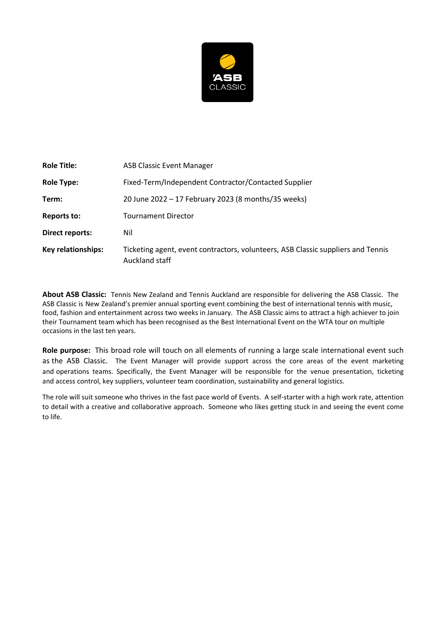

| <b>Role Title:</b>        | <b>ASB Classic Event Manager</b>                                                                   |  |
|---------------------------|----------------------------------------------------------------------------------------------------|--|
| <b>Role Type:</b>         | Fixed-Term/Independent Contractor/Contacted Supplier                                               |  |
| Term:                     | 20 June 2022 - 17 February 2023 (8 months/35 weeks)                                                |  |
| <b>Reports to:</b>        | <b>Tournament Director</b>                                                                         |  |
| <b>Direct reports:</b>    | Nil                                                                                                |  |
| <b>Key relationships:</b> | Ticketing agent, event contractors, volunteers, ASB Classic suppliers and Tennis<br>Auckland staff |  |

**About ASB Classic:** Tennis New Zealand and Tennis Auckland are responsible for delivering the ASB Classic. The ASB Classic is New Zealand's premier annual sporting event combining the best of international tennis with music, food, fashion and entertainment across two weeks in January. The ASB Classic aims to attract a high achiever to join their Tournament team which has been recognised as the Best International Event on the WTA tour on multiple occasions in the last ten years.

**Role purpose:** This broad role will touch on all elements of running a large scale international event such as the ASB Classic. The Event Manager will provide support across the core areas of the event marketing and operations teams. Specifically, the Event Manager will be responsible for the venue presentation, ticketing and access control, key suppliers, volunteer team coordination, sustainability and general logistics.

The role will suit someone who thrives in the fast pace world of Events. A self-starter with a high work rate, attention to detail with a creative and collaborative approach. Someone who likes getting stuck in and seeing the event come to life.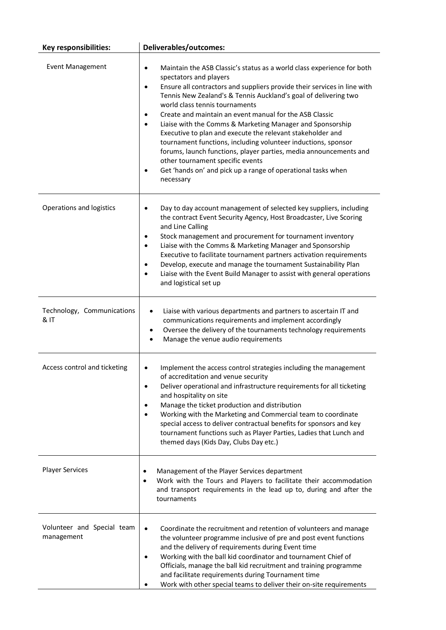| Key responsibilities:                    | <b>Deliverables/outcomes:</b>                                                                                                                                                                                                                                                                                                                                                                                                                                                                                                                                                                                                                                                                                                                                                   |
|------------------------------------------|---------------------------------------------------------------------------------------------------------------------------------------------------------------------------------------------------------------------------------------------------------------------------------------------------------------------------------------------------------------------------------------------------------------------------------------------------------------------------------------------------------------------------------------------------------------------------------------------------------------------------------------------------------------------------------------------------------------------------------------------------------------------------------|
| <b>Event Management</b>                  | Maintain the ASB Classic's status as a world class experience for both<br>$\bullet$<br>spectators and players<br>Ensure all contractors and suppliers provide their services in line with<br>٠<br>Tennis New Zealand's & Tennis Auckland's goal of delivering two<br>world class tennis tournaments<br>Create and maintain an event manual for the ASB Classic<br>٠<br>Liaise with the Comms & Marketing Manager and Sponsorship<br>$\bullet$<br>Executive to plan and execute the relevant stakeholder and<br>tournament functions, including volunteer inductions, sponsor<br>forums, launch functions, player parties, media announcements and<br>other tournament specific events<br>Get 'hands on' and pick up a range of operational tasks when<br>$\bullet$<br>necessary |
| Operations and logistics                 | Day to day account management of selected key suppliers, including<br>٠<br>the contract Event Security Agency, Host Broadcaster, Live Scoring<br>and Line Calling<br>Stock management and procurement for tournament inventory<br>$\bullet$<br>Liaise with the Comms & Marketing Manager and Sponsorship<br>٠<br>Executive to facilitate tournament partners activation requirements<br>Develop, execute and manage the tournament Sustainability Plan<br>$\bullet$<br>Liaise with the Event Build Manager to assist with general operations<br>$\bullet$<br>and logistical set up                                                                                                                                                                                              |
| Technology, Communications<br>& IT       | Liaise with various departments and partners to ascertain IT and<br>communications requirements and implement accordingly<br>Oversee the delivery of the tournaments technology requirements<br>Manage the venue audio requirements                                                                                                                                                                                                                                                                                                                                                                                                                                                                                                                                             |
| Access control and ticketing             | Implement the access control strategies including the management<br>of accreditation and venue security<br>Deliver operational and infrastructure requirements for all ticketing<br>$\bullet$<br>and hospitality on site<br>Manage the ticket production and distribution<br>٠<br>Working with the Marketing and Commercial team to coordinate<br>$\bullet$<br>special access to deliver contractual benefits for sponsors and key<br>tournament functions such as Player Parties, Ladies that Lunch and<br>themed days (Kids Day, Clubs Day etc.)                                                                                                                                                                                                                              |
| <b>Player Services</b>                   | Management of the Player Services department<br>$\bullet$<br>Work with the Tours and Players to facilitate their accommodation<br>$\bullet$<br>and transport requirements in the lead up to, during and after the<br>tournaments                                                                                                                                                                                                                                                                                                                                                                                                                                                                                                                                                |
| Volunteer and Special team<br>management | Coordinate the recruitment and retention of volunteers and manage<br>$\bullet$<br>the volunteer programme inclusive of pre and post event functions<br>and the delivery of requirements during Event time<br>Working with the ball kid coordinator and tournament Chief of<br>$\bullet$<br>Officials, manage the ball kid recruitment and training programme<br>and facilitate requirements during Tournament time<br>Work with other special teams to deliver their on-site requirements                                                                                                                                                                                                                                                                                       |